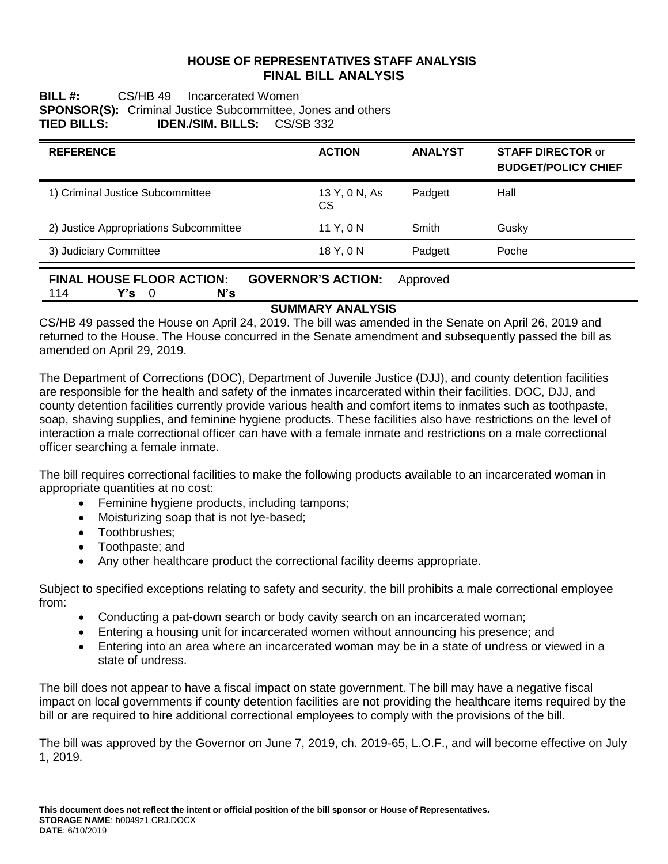## **HOUSE OF REPRESENTATIVES STAFF ANALYSIS FINAL BILL ANALYSIS**

## **BILL #:** CS/HB 49 Incarcerated Women **SPONSOR(S):** Criminal Justice Subcommittee, Jones and others **TIED BILLS: IDEN./SIM. BILLS:** CS/SB 332

| <b>ACTION</b>       | <b>ANALYST</b> | <b>STAFF DIRECTOR or</b><br><b>BUDGET/POLICY CHIEF</b> |
|---------------------|----------------|--------------------------------------------------------|
| 13 Y, 0 N, As<br>CS | Padgett        | Hall                                                   |
| 11 Y, 0 N           | Smith          | Gusky                                                  |
| 18 Y, 0 N           | Padgett        | Poche                                                  |
|                     |                |                                                        |

### **FINAL HOUSE FLOOR ACTION: GOVERNOR'S ACTION:** Approved 114 **Y's** 0 **N's**

## **SUMMARY ANALYSIS**

CS/HB 49 passed the House on April 24, 2019. The bill was amended in the Senate on April 26, 2019 and returned to the House. The House concurred in the Senate amendment and subsequently passed the bill as amended on April 29, 2019.

The Department of Corrections (DOC), Department of Juvenile Justice (DJJ), and county detention facilities are responsible for the health and safety of the inmates incarcerated within their facilities. DOC, DJJ, and county detention facilities currently provide various health and comfort items to inmates such as toothpaste, soap, shaving supplies, and feminine hygiene products. These facilities also have restrictions on the level of interaction a male correctional officer can have with a female inmate and restrictions on a male correctional officer searching a female inmate.

The bill requires correctional facilities to make the following products available to an incarcerated woman in appropriate quantities at no cost:

- Feminine hygiene products, including tampons;
- Moisturizing soap that is not lye-based;
- Toothbrushes:
- Toothpaste; and
- Any other healthcare product the correctional facility deems appropriate.

Subject to specified exceptions relating to safety and security, the bill prohibits a male correctional employee from:

- Conducting a pat-down search or body cavity search on an incarcerated woman;
- Entering a housing unit for incarcerated women without announcing his presence; and
- Entering into an area where an incarcerated woman may be in a state of undress or viewed in a state of undress.

The bill does not appear to have a fiscal impact on state government. The bill may have a negative fiscal impact on local governments if county detention facilities are not providing the healthcare items required by the bill or are required to hire additional correctional employees to comply with the provisions of the bill.

The bill was approved by the Governor on June 7, 2019, ch. 2019-65, L.O.F., and will become effective on July 1, 2019.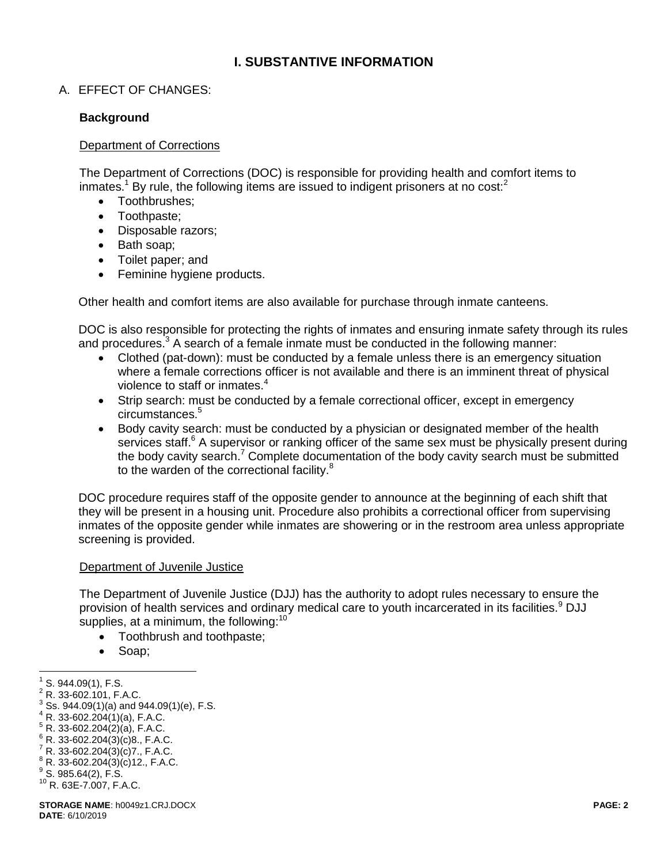# **I. SUBSTANTIVE INFORMATION**

# A. EFFECT OF CHANGES:

### **Background**

#### Department of Corrections

The Department of Corrections (DOC) is responsible for providing health and comfort items to inmates.<sup>1</sup> By rule, the following items are issued to indigent prisoners at no cost: $2$ 

- Toothbrushes;
- Toothpaste;
- Disposable razors;
- Bath soap;
- Toilet paper; and
- Feminine hygiene products.

Other health and comfort items are also available for purchase through inmate canteens.

DOC is also responsible for protecting the rights of inmates and ensuring inmate safety through its rules and procedures. $3$  A search of a female inmate must be conducted in the following manner:

- Clothed (pat-down): must be conducted by a female unless there is an emergency situation where a female corrections officer is not available and there is an imminent threat of physical violence to staff or inmates.<sup>4</sup>
- Strip search: must be conducted by a female correctional officer, except in emergency circumstances.<sup>5</sup>
- Body cavity search: must be conducted by a physician or designated member of the health services staff.<sup>6</sup> A supervisor or ranking officer of the same sex must be physically present during the body cavity search.<sup>7</sup> Complete documentation of the body cavity search must be submitted to the warden of the correctional facility.<sup>8</sup>

DOC procedure requires staff of the opposite gender to announce at the beginning of each shift that they will be present in a housing unit. Procedure also prohibits a correctional officer from supervising inmates of the opposite gender while inmates are showering or in the restroom area unless appropriate screening is provided.

#### Department of Juvenile Justice

The Department of Juvenile Justice (DJJ) has the authority to adopt rules necessary to ensure the provision of health services and ordinary medical care to youth incarcerated in its facilities.<sup>9</sup> DJJ supplies, at a minimum, the following:<sup>10</sup>

- Toothbrush and toothpaste;
- Soap:

 $\overline{a}$ 

- $4$  R. 33-602.204(1)(a), F.A.C.
- $5 R. 33-602.204(2)(a)$ , F.A.C.
- $6$  R. 33-602.204(3)(c)8., F.A.C.
- $7 R. 33 602.204(3)(c)7$ ., F.A.C.
- $8 R. 33-602.204(3)(c)12., F.A.C.$
- $^9$  S. 985.64(2), F.S.
- <sup>10</sup> R. 63E-7.007, F.A.C.

 $1$  S. 944.09(1), F.S.

 $2$  R. 33-602.101, F.A.C.

 $3$  Ss. 944.09(1)(a) and 944.09(1)(e), F.S.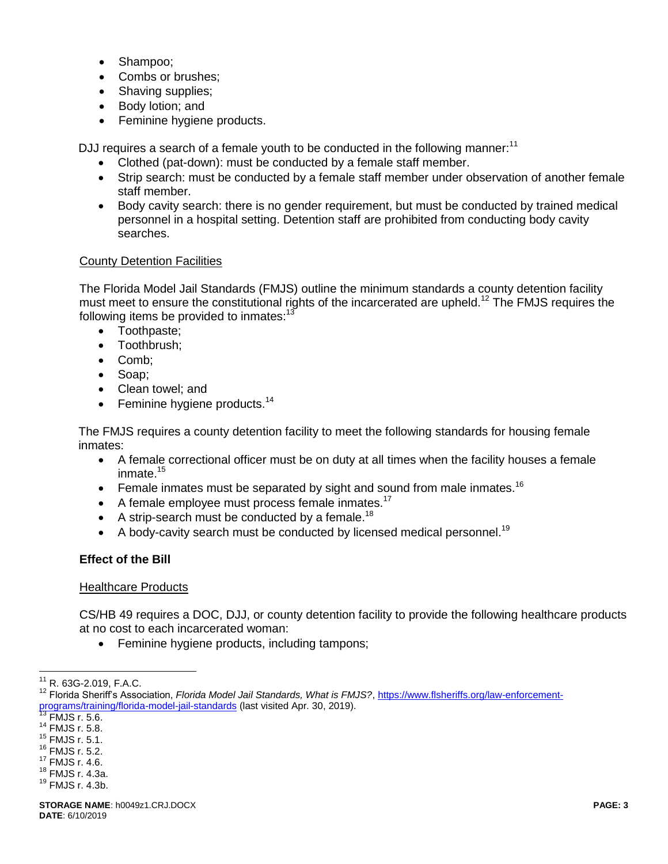- Shampoo:
- Combs or brushes;
- Shaving supplies;
- Body lotion; and
- Feminine hygiene products.

DJJ requires a search of a female youth to be conducted in the following manner:<sup>11</sup>

- Clothed (pat-down): must be conducted by a female staff member.
- Strip search: must be conducted by a female staff member under observation of another female staff member.
- Body cavity search: there is no gender requirement, but must be conducted by trained medical personnel in a hospital setting. Detention staff are prohibited from conducting body cavity searches.

### County Detention Facilities

The Florida Model Jail Standards (FMJS) outline the minimum standards a county detention facility must meet to ensure the constitutional rights of the incarcerated are upheld.<sup>12</sup> The FMJS requires the following items be provided to inmates:<sup>13</sup>

- Toothpaste;
- Toothbrush:
- Comb;
- Soap;
- Clean towel; and
- $\bullet$  Feminine hygiene products.<sup>14</sup>

The FMJS requires a county detention facility to meet the following standards for housing female inmates:

- A female correctional officer must be on duty at all times when the facility houses a female inmate.<sup>15</sup>
- Female inmates must be separated by sight and sound from male inmates.<sup>16</sup>
- $\bullet$  A female employee must process female inmates.<sup>17</sup>
- A strip-search must be conducted by a female.<sup>18</sup>
- A body-cavity search must be conducted by licensed medical personnel.<sup>19</sup>

## **Effect of the Bill**

#### Healthcare Products

CS/HB 49 requires a DOC, DJJ, or county detention facility to provide the following healthcare products at no cost to each incarcerated woman:

• Feminine hygiene products, including tampons;

 $\overline{a}$ <sup>11</sup> R. 63G-2.019, F.A.C.

<sup>12</sup> Florida Sheriff's Association, *Florida Model Jail Standards, What is FMJS?*, [https://www.flsheriffs.org/law-enforcement](https://www.flsheriffs.org/law-enforcement-programs/training/florida-model-jail-standards)[programs/training/florida-model-jail-standards](https://www.flsheriffs.org/law-enforcement-programs/training/florida-model-jail-standards) (last visited Apr. 30, 2019).

 $\frac{13}{13}$  FMJS r. 5.6.

<sup>14</sup> FMJS r. 5.8.

<sup>15</sup> FMJS r. 5.1.

<sup>16</sup> FMJS r. 5.2.

<sup>17</sup> FMJS r. 4.6. <sup>18</sup> FMJS r. 4.3a.

<sup>19</sup> FMJS r. 4.3b.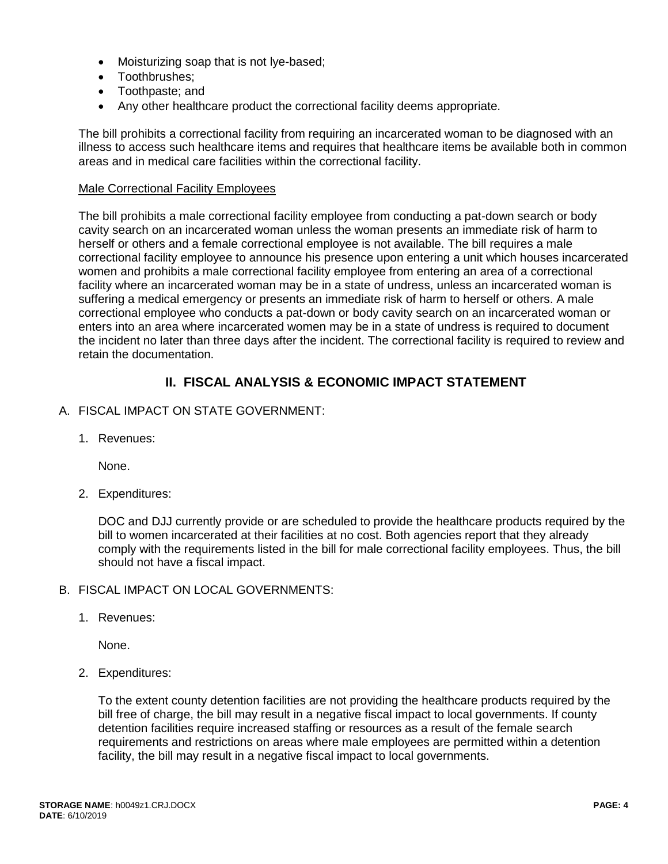- Moisturizing soap that is not lye-based;
- Toothbrushes:
- Toothpaste; and
- Any other healthcare product the correctional facility deems appropriate.

The bill prohibits a correctional facility from requiring an incarcerated woman to be diagnosed with an illness to access such healthcare items and requires that healthcare items be available both in common areas and in medical care facilities within the correctional facility.

### Male Correctional Facility Employees

The bill prohibits a male correctional facility employee from conducting a pat-down search or body cavity search on an incarcerated woman unless the woman presents an immediate risk of harm to herself or others and a female correctional employee is not available. The bill requires a male correctional facility employee to announce his presence upon entering a unit which houses incarcerated women and prohibits a male correctional facility employee from entering an area of a correctional facility where an incarcerated woman may be in a state of undress, unless an incarcerated woman is suffering a medical emergency or presents an immediate risk of harm to herself or others. A male correctional employee who conducts a pat-down or body cavity search on an incarcerated woman or enters into an area where incarcerated women may be in a state of undress is required to document the incident no later than three days after the incident. The correctional facility is required to review and retain the documentation.

# **II. FISCAL ANALYSIS & ECONOMIC IMPACT STATEMENT**

- A. FISCAL IMPACT ON STATE GOVERNMENT:
	- 1. Revenues:

None.

2. Expenditures:

DOC and DJJ currently provide or are scheduled to provide the healthcare products required by the bill to women incarcerated at their facilities at no cost. Both agencies report that they already comply with the requirements listed in the bill for male correctional facility employees. Thus, the bill should not have a fiscal impact.

- B. FISCAL IMPACT ON LOCAL GOVERNMENTS:
	- 1. Revenues:

None.

2. Expenditures:

To the extent county detention facilities are not providing the healthcare products required by the bill free of charge, the bill may result in a negative fiscal impact to local governments. If county detention facilities require increased staffing or resources as a result of the female search requirements and restrictions on areas where male employees are permitted within a detention facility, the bill may result in a negative fiscal impact to local governments.